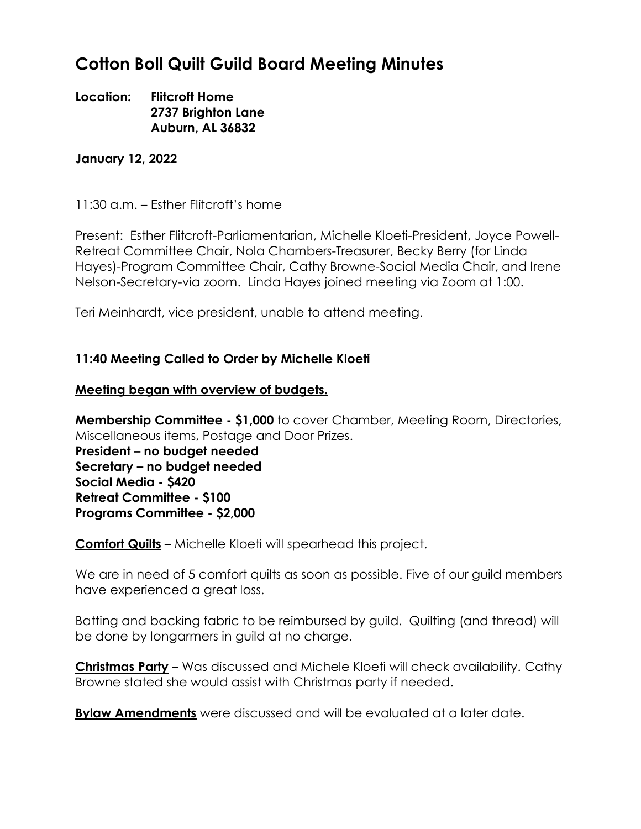# **Cotton Boll Quilt Guild Board Meeting Minutes**

## **Location: Flitcroft Home 2737 Brighton Lane Auburn, AL 36832**

#### **January 12, 2022**

11:30 a.m. – Esther Flitcroft's home

Present: Esther Flitcroft-Parliamentarian, Michelle Kloeti-President, Joyce Powell-Retreat Committee Chair, Nola Chambers-Treasurer, Becky Berry (for Linda Hayes)-Program Committee Chair, Cathy Browne-Social Media Chair, and Irene Nelson-Secretary-via zoom. Linda Hayes joined meeting via Zoom at 1:00.

Teri Meinhardt, vice president, unable to attend meeting.

## **11:40 Meeting Called to Order by Michelle Kloeti**

#### **Meeting began with overview of budgets.**

**Membership Committee - \$1,000** to cover Chamber, Meeting Room, Directories, Miscellaneous items, Postage and Door Prizes.

**President – no budget needed Secretary – no budget needed Social Media - \$420 Retreat Committee - \$100 Programs Committee - \$2,000**

**Comfort Quilts** – Michelle Kloeti will spearhead this project.

We are in need of 5 comfort quilts as soon as possible. Five of our guild members have experienced a great loss.

Batting and backing fabric to be reimbursed by guild. Quilting (and thread) will be done by longarmers in guild at no charge.

**Christmas Party** – Was discussed and Michele Kloeti will check availability. Cathy Browne stated she would assist with Christmas party if needed.

**Bylaw Amendments** were discussed and will be evaluated at a later date.